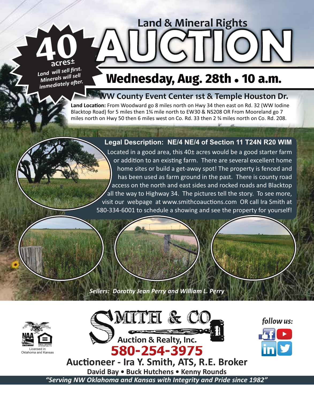*Land will sell first. Minerals will sell immediately after.* **40acres<sup>±</sup>**

# **Wednesday, Aug. 28th • 10 a.m.**

**AUCTION**

**Land & Mineral Rights**

## **W County Event Center 1st & Temple Houston Dr.**

Land Location: From Woodward go 8 miles north on Hwy 34 then east on Rd. 32 (WW lodine Blacktop Road) for 5 miles then 1<sup>3</sup>/4 mile north to EW30 & NS208 OR From Mooreland go 7 miles north on Hwy 50 then 6 miles west on Co. Rd. 33 then 2 % miles north on Co. Rd. 208.

## **Legal Description: NE/4 NE/4 of Section 11 T24N R20 WIM**

Located in a good area, this 40± acres would be a good starter farm or addition to an existing farm. There are several excellent home home sites or build a get-away spot! The property is fenced and has been used as farm ground in the past. There is county road access on the north and east sides and rocked roads and Blacktop all the way to Highway 34. The pictures tell the story. To see more, visit our webpage at www.smithcoauctions.com OR call Ira Smith at 580-334-6001 to schedule a showing and see the property for yourself!

*Sellers: Dorothy Jean Perry and William L. Perry*





*follow us:*

Auctioneer - Ira Y. Smith, ATS, R.E. Broker **David Bay • Buck Hutchens • Kenny Rounds** *"Serving NW Oklahoma and Kansas with Integrity and Pride since 1982"*